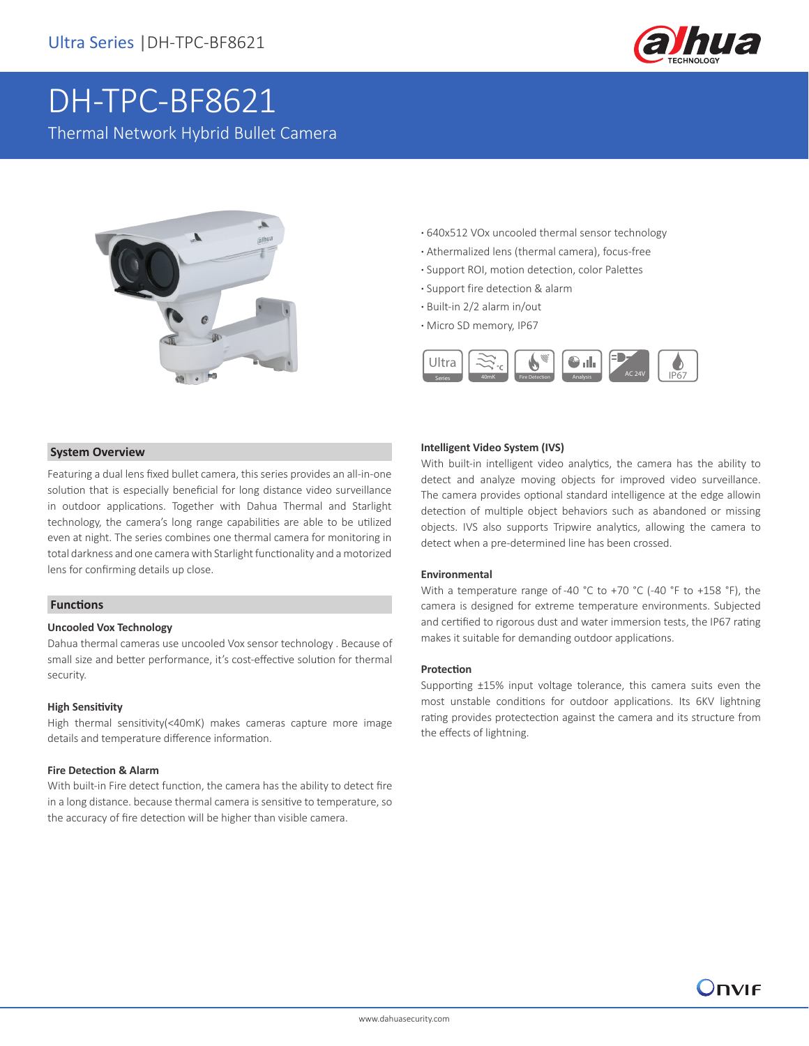

# DH-TPC-BF8621

Thermal Network Hybrid Bullet Camera



- **·** 640x512 VOx uncooled thermal sensor technology
- **·** Athermalized lens (thermal camera), focus-free
- **·** Support ROI, motion detection, color Palettes
- **·** Support fire detection & alarm
- **·** Built-in 2/2 alarm in/out
- **·** Micro SD memory, IP67



#### **System Overview**

Featuring a dual lens fixed bullet camera, this series provides an all-in-one solution that is especially beneficial for long distance video surveillance in outdoor applications. Together with Dahua Thermal and Starlight technology, the camera's long range capabilities are able to be utilized even at night. The series combines one thermal camera for monitoring in total darkness and one camera with Starlight functionality and a motorized lens for confirming details up close.

#### **Functions**

#### **Uncooled Vox Technology**

Dahua thermal cameras use uncooled Vox sensor technology . Because of small size and better performance, it's cost-effective solution for thermal security.

#### **High Sensitivity**

High thermal sensitivity(<40mK) makes cameras capture more image details and temperature difference information.

#### **Fire Detection & Alarm**

With built-in Fire detect function, the camera has the ability to detect fire in a long distance. because thermal camera is sensitive to temperature, so the accuracy of fire detection will be higher than visible camera.

#### **Intelligent Video System (IVS)**

With built-in intelligent video analytics, the camera has the ability to detect and analyze moving objects for improved video surveillance. The camera provides optional standard intelligence at the edge allowin detection of multiple object behaviors such as abandoned or missing objects. IVS also supports Tripwire analytics, allowing the camera to detect when a pre-determined line has been crossed.

#### **Environmental**

With a temperature range of -40 °C to +70 °C (-40 °F to +158 °F), the camera is designed for extreme temperature environments. Subjected and certified to rigorous dust and water immersion tests, the IP67 rating makes it suitable for demanding outdoor applications.

#### **Protection**

Supporting ±15% input voltage tolerance, this camera suits even the most unstable conditions for outdoor applications. Its 6KV lightning rating provides protectection against the camera and its structure from the effects of lightning.

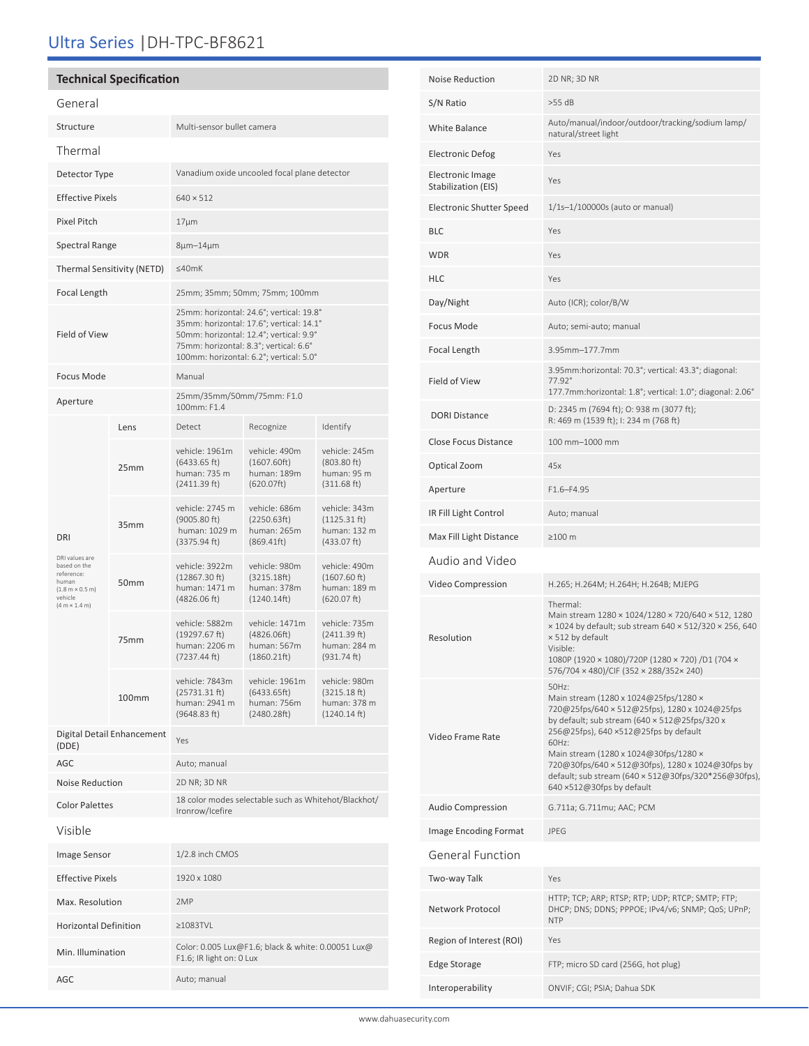## Ultra Series |DH-TPC-BF8621

#### **Technical Specification** General Structure Multi-sensor bullet camera Thermal Detector Type Vanadium oxide uncooled focal plane detector Effective Pixels 640 × 512 Pixel Pitch 17μm Spectral Range 8μm-14μm Thermal Sensitivity (NETD) ≤40mK Focal Length 25mm; 35mm; 50mm; 75mm; 100mm Field of View 25mm: horizontal: 24.6°; vertical: 19.8° 35mm: horizontal: 17.6°; vertical: 14.1° 50mm: horizontal: 12.4°; vertical: 9.9° 75mm: horizontal: 8.3°; vertical: 6.6° 100mm: horizontal: 6.2°; vertical: 5.0° Focus Mode Manual Aperture 25mm/35mm/50mm/75mm: F1.0 100mm: F1.4 DRI DRI values are based on the reference:<br>human<br>(1.8 m × 0.5 m) vehicle<br>(4 m × 1.4 m) Lens Detect Recognize Identify 25mm vehicle: 1961m (6433.65 ft) human: 735 m (2411.39 ft) vehicle: 490m (1607.60ft) human: 189m (620.07ft) vehicle: 245m (803.80 ft) human: 95 m (311.68 ft) 35mm vehicle: 2745 m (9005.80 ft) human: 1029 m (3375.94 ft) vehicle: 686m (2250.63ft) human: 265m (869.41ft) vehicle: 343m (1125.31 ft) human: 132 m (433.07 ft) 50mm vehicle: 3922m (12867.30 ft) human: 1471 m (4826.06 ft) vehicle: 980m (3215.18ft) human: 378m (1240.14ft) vehicle: 490m (1607.60 ft) human: 189 m (620.07 ft) 75mm vehicle: 5882m (19297.67 ft) human: 2206 m (7237.44 ft) vehicle: 1471m (4826.06ft) human: 567m (1860.21ft) vehicle: 735m (2411.39 ft) human: 284 m (931.74 ft) 100mm vehicle: 7843m (25731.31 ft) human: 2941 m (9648.83 ft) vehicle: 1961m (6433.65ft) human: 756m (2480.28ft) vehicle: 980m (3215.18 ft) human: 378 m (1240.14 ft) Digital Detail Enhancement (DDE) Yes AGC Auto; manual Noise Reduction 2D NR; 3D NR Color Palettes 18 color modes selectable such as Whitehot/Blackhot/ Ironrow/Icefire Visible Image Sensor 1/2.8 inch CMOS Effective Pixels 1920 x 1080 Max. Resolution 2MP Horizontal Definition ≥1083TVL Min. Illumination Color: 0.005 Lux@F1.6; black & white: 0.00051 Lux@ F1.6; IR light on: 0 Lux

AGC Auto; manual

| <b>Noise Reduction</b>                  | 2D NR; 3D NR                                                                                                                                                                                                                                                                                                                                                                         |  |
|-----------------------------------------|--------------------------------------------------------------------------------------------------------------------------------------------------------------------------------------------------------------------------------------------------------------------------------------------------------------------------------------------------------------------------------------|--|
| S/N Ratio                               | $>55$ dB                                                                                                                                                                                                                                                                                                                                                                             |  |
| <b>White Balance</b>                    | Auto/manual/indoor/outdoor/tracking/sodium lamp/<br>natural/street light                                                                                                                                                                                                                                                                                                             |  |
| <b>Electronic Defog</b>                 | Yes                                                                                                                                                                                                                                                                                                                                                                                  |  |
| Electronic Image<br>Stabilization (EIS) | Yes                                                                                                                                                                                                                                                                                                                                                                                  |  |
| <b>Electronic Shutter Speed</b>         | 1/1s-1/100000s (auto or manual)                                                                                                                                                                                                                                                                                                                                                      |  |
| BLC                                     | Yes                                                                                                                                                                                                                                                                                                                                                                                  |  |
| <b>WDR</b>                              | Yes                                                                                                                                                                                                                                                                                                                                                                                  |  |
| <b>HLC</b>                              | Yes                                                                                                                                                                                                                                                                                                                                                                                  |  |
| Day/Night                               | Auto (ICR); color/B/W                                                                                                                                                                                                                                                                                                                                                                |  |
| Focus Mode                              | Auto; semi-auto; manual                                                                                                                                                                                                                                                                                                                                                              |  |
| Focal Length                            | 3 95mm-177 7mm                                                                                                                                                                                                                                                                                                                                                                       |  |
| Field of View                           | 3.95mm:horizontal: 70.3°; vertical: 43.3°; diagonal:<br>$77.92^{\circ}$<br>177.7mm:horizontal: 1.8°; vertical: 1.0°; diagonal: 2.06°                                                                                                                                                                                                                                                 |  |
| <b>DORI Distance</b>                    | D: 2345 m (7694 ft); O: 938 m (3077 ft);<br>R: 469 m (1539 ft); I: 234 m (768 ft)                                                                                                                                                                                                                                                                                                    |  |
| <b>Close Focus Distance</b>             | 100 mm-1000 mm                                                                                                                                                                                                                                                                                                                                                                       |  |
| Optical Zoom                            | 45x                                                                                                                                                                                                                                                                                                                                                                                  |  |
| Aperture                                | $F1.6 - F4.95$                                                                                                                                                                                                                                                                                                                                                                       |  |
| IR Fill Light Control                   | Auto; manual                                                                                                                                                                                                                                                                                                                                                                         |  |
| Max Fill Light Distance                 | $\geq$ 100 m                                                                                                                                                                                                                                                                                                                                                                         |  |
| Audio and Video                         |                                                                                                                                                                                                                                                                                                                                                                                      |  |
| Video Compression                       | H.265; H.264M; H.264H; H.264B; MJEPG                                                                                                                                                                                                                                                                                                                                                 |  |
| Resolution                              | Thermal:<br>Main stream 1280 × 1024/1280 × 720/640 × 512, 1280<br>x 1024 by default; sub stream 640 x 512/320 x 256, 640<br>x 512 by default<br>Visible:<br>1080P (1920 × 1080)/720P (1280 × 720) /D1 (704 ×<br>576/704 × 480)/CIF (352 × 288/352× 240)                                                                                                                              |  |
| Video Frame Rate                        | 50Hz:<br>Main stream (1280 x 1024@25fps/1280 ×<br>720@25fps/640 × 512@25fps), 1280 x 1024@25fps<br>by default; sub stream (640 × 512@25fps/320 x<br>256@25fps), 640 ×512@25fps by default<br>60Hz:<br>Main stream (1280 x 1024@30fps/1280 ×<br>720@30fps/640 × 512@30fps), 1280 x 1024@30fps by<br>default; sub stream (640 × 512@30fps/320*256@30fps),<br>640 ×512@30fps by default |  |
| <b>Audio Compression</b>                | G.711a; G.711mu; AAC; PCM                                                                                                                                                                                                                                                                                                                                                            |  |
| Image Encoding Format                   | <b>JPEG</b>                                                                                                                                                                                                                                                                                                                                                                          |  |
| <b>General Function</b>                 |                                                                                                                                                                                                                                                                                                                                                                                      |  |
| Two-way Talk                            | Yes                                                                                                                                                                                                                                                                                                                                                                                  |  |
| Network Protocol                        | HTTP; TCP; ARP; RTSP; RTP; UDP; RTCP; SMTP; FTP;<br>DHCP; DNS; DDNS; PPPOE; IPv4/v6; SNMP; QoS; UPnP;<br><b>NTP</b>                                                                                                                                                                                                                                                                  |  |
| Region of Interest (ROI)                | Yes                                                                                                                                                                                                                                                                                                                                                                                  |  |
| <b>Edge Storage</b>                     | FTP; micro SD card (256G, hot plug)                                                                                                                                                                                                                                                                                                                                                  |  |
| Interoperability                        | ONVIF; CGI; PSIA; Dahua SDK                                                                                                                                                                                                                                                                                                                                                          |  |